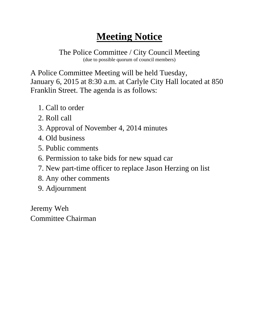The Police Committee / City Council Meeting (due to possible quorum of council members)

A Police Committee Meeting will be held Tuesday, January 6, 2015 at 8:30 a.m. at Carlyle City Hall located at 850 Franklin Street. The agenda is as follows:

- 1. Call to order
- 2. Roll call
- 3. Approval of November 4, 2014 minutes
- 4. Old business
- 5. Public comments
- 6. Permission to take bids for new squad car
- 7. New part-time officer to replace Jason Herzing on list
- 8. Any other comments
- 9. Adjournment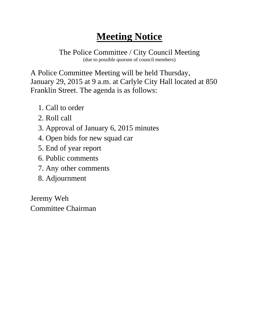The Police Committee / City Council Meeting (due to possible quorum of council members)

A Police Committee Meeting will be held Thursday, January 29, 2015 at 9 a.m. at Carlyle City Hall located at 850 Franklin Street. The agenda is as follows:

- 1. Call to order
- 2. Roll call
- 3. Approval of January 6, 2015 minutes
- 4. Open bids for new squad car
- 5. End of year report
- 6. Public comments
- 7. Any other comments
- 8. Adjournment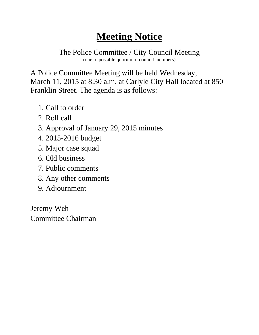The Police Committee / City Council Meeting (due to possible quorum of council members)

A Police Committee Meeting will be held Wednesday, March 11, 2015 at 8:30 a.m. at Carlyle City Hall located at 850 Franklin Street. The agenda is as follows:

- 1. Call to order
- 2. Roll call
- 3. Approval of January 29, 2015 minutes
- 4. 2015-2016 budget
- 5. Major case squad
- 6. Old business
- 7. Public comments
- 8. Any other comments
- 9. Adjournment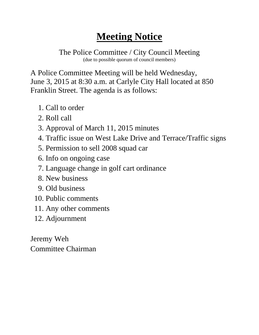The Police Committee / City Council Meeting (due to possible quorum of council members)

A Police Committee Meeting will be held Wednesday, June 3, 2015 at 8:30 a.m. at Carlyle City Hall located at 850 Franklin Street. The agenda is as follows:

- 1. Call to order
- 2. Roll call
- 3. Approval of March 11, 2015 minutes
- 4. Traffic issue on West Lake Drive and Terrace/Traffic signs
- 5. Permission to sell 2008 squad car
- 6. Info on ongoing case
- 7. Language change in golf cart ordinance
- 8. New business
- 9. Old business
- 10. Public comments
- 11. Any other comments
- 12. Adjournment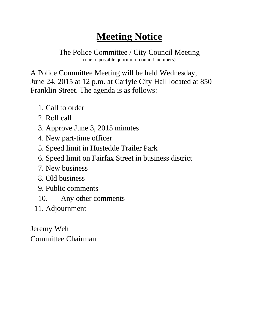The Police Committee / City Council Meeting (due to possible quorum of council members)

A Police Committee Meeting will be held Wednesday, June 24, 2015 at 12 p.m. at Carlyle City Hall located at 850 Franklin Street. The agenda is as follows:

- 1. Call to order
- 2. Roll call
- 3. Approve June 3, 2015 minutes
- 4. New part-time officer
- 5. Speed limit in Hustedde Trailer Park
- 6. Speed limit on Fairfax Street in business district
- 7. New business
- 8. Old business
- 9. Public comments
- 10. Any other comments
- 11. Adjournment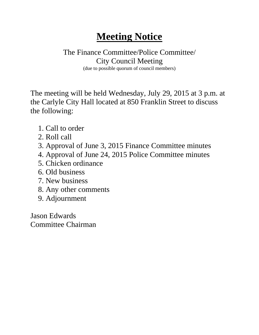### The Finance Committee/Police Committee/ City Council Meeting

(due to possible quorum of council members)

The meeting will be held Wednesday, July 29, 2015 at 3 p.m. at the Carlyle City Hall located at 850 Franklin Street to discuss the following:

- 1. Call to order
- 2. Roll call
- 3. Approval of June 3, 2015 Finance Committee minutes
- 4. Approval of June 24, 2015 Police Committee minutes
- 5. Chicken ordinance
- 6. Old business
- 7. New business
- 8. Any other comments
- 9. Adjournment

Jason Edwards Committee Chairman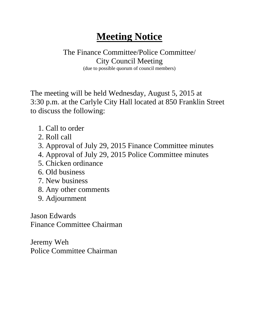#### The Finance Committee/Police Committee/ City Council Meeting

(due to possible quorum of council members)

The meeting will be held Wednesday, August 5, 2015 at 3:30 p.m. at the Carlyle City Hall located at 850 Franklin Street to discuss the following:

- 1. Call to order
- 2. Roll call
- 3. Approval of July 29, 2015 Finance Committee minutes
- 4. Approval of July 29, 2015 Police Committee minutes
- 5. Chicken ordinance
- 6. Old business
- 7. New business
- 8. Any other comments
- 9. Adjournment

Jason Edwards Finance Committee Chairman

Jeremy Weh Police Committee Chairman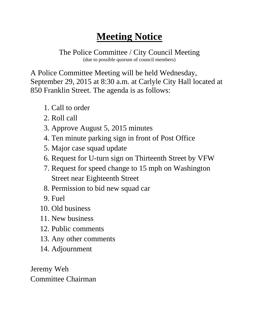The Police Committee / City Council Meeting (due to possible quorum of council members)

A Police Committee Meeting will be held Wednesday, September 29, 2015 at 8:30 a.m. at Carlyle City Hall located at 850 Franklin Street. The agenda is as follows:

- 1. Call to order
- 2. Roll call
- 3. Approve August 5, 2015 minutes
- 4. Ten minute parking sign in front of Post Office
- 5. Major case squad update
- 6. Request for U-turn sign on Thirteenth Street by VFW
- 7. Request for speed change to 15 mph on Washington Street near Eighteenth Street
- 8. Permission to bid new squad car
- 9. Fuel
- 10. Old business
- 11. New business
- 12. Public comments
- 13. Any other comments
- 14. Adjournment